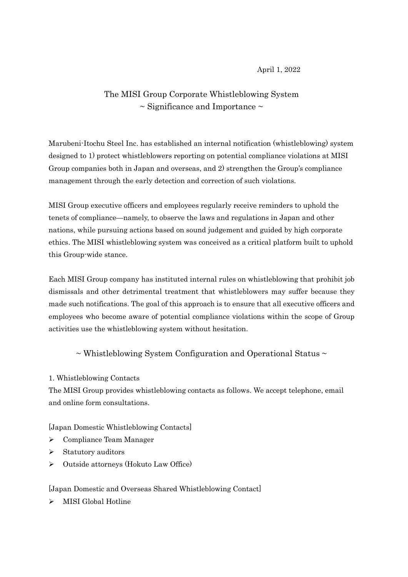## April 1, 2022

# The MISI Group Corporate Whistleblowing System  $\sim$  Significance and Importance  $\sim$

Marubeni-Itochu Steel Inc. has established an internal notification (whistleblowing) system designed to 1) protect whistleblowers reporting on potential compliance violations at MISI Group companies both in Japan and overseas, and 2) strengthen the Group's compliance management through the early detection and correction of such violations.

MISI Group executive officers and employees regularly receive reminders to uphold the tenets of compliance—namely, to observe the laws and regulations in Japan and other nations, while pursuing actions based on sound judgement and guided by high corporate ethics. The MISI whistleblowing system was conceived as a critical platform built to uphold this Group-wide stance.

Each MISI Group company has instituted internal rules on whistleblowing that prohibit job dismissals and other detrimental treatment that whistleblowers may suffer because they made such notifications. The goal of this approach is to ensure that all executive officers and employees who become aware of potential compliance violations within the scope of Group activities use the whistleblowing system without hesitation.

 $\sim$  Whistleblowing System Configuration and Operational Status  $\sim$ 

## 1. Whistleblowing Contacts

The MISI Group provides whistleblowing contacts as follows. We accept telephone, email and online form consultations.

[Japan Domestic Whistleblowing Contacts]

- $\triangleright$  Compliance Team Manager
- $\triangleright$  Statutory auditors
- Outside attorneys (Hokuto Law Office)

## [Japan Domestic and Overseas Shared Whistleblowing Contact]

 $\triangleright$  MISI Global Hotline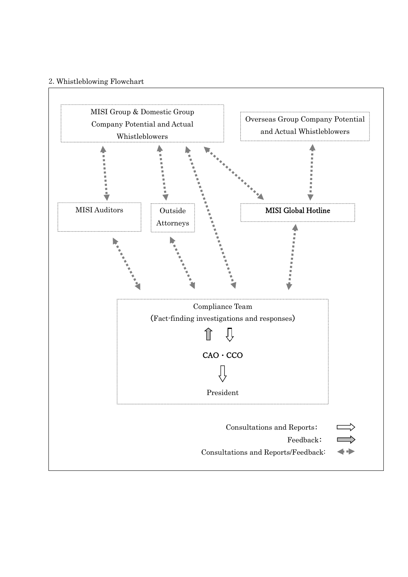#### 2. Whistleblowing Flowchart

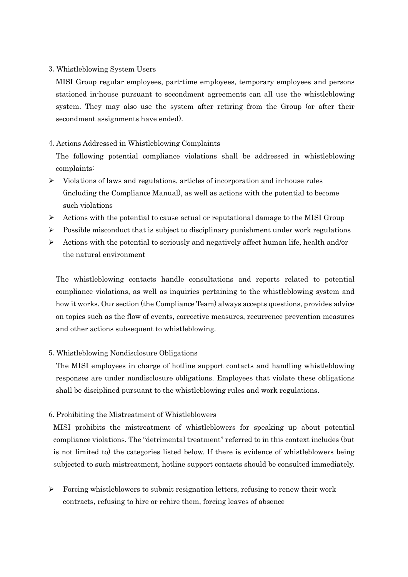## 3. Whistleblowing System Users

MISI Group regular employees, part-time employees, temporary employees and persons stationed in-house pursuant to secondment agreements can all use the whistleblowing system. They may also use the system after retiring from the Group (or after their secondment assignments have ended).

## 4. Actions Addressed in Whistleblowing Complaints

The following potential compliance violations shall be addressed in whistleblowing complaints:

- $\triangleright$  Violations of laws and regulations, articles of incorporation and in-house rules (including the Compliance Manual), as well as actions with the potential to become such violations
- $\triangleright$  Actions with the potential to cause actual or reputational damage to the MISI Group
- $\triangleright$  Possible misconduct that is subject to disciplinary punishment under work regulations
- $\triangleright$  Actions with the potential to seriously and negatively affect human life, health and/or the natural environment

The whistleblowing contacts handle consultations and reports related to potential compliance violations, as well as inquiries pertaining to the whistleblowing system and how it works. Our section (the Compliance Team) always accepts questions, provides advice on topics such as the flow of events, corrective measures, recurrence prevention measures and other actions subsequent to whistleblowing.

## 5. Whistleblowing Nondisclosure Obligations

The MISI employees in charge of hotline support contacts and handling whistleblowing responses are under nondisclosure obligations. Employees that violate these obligations shall be disciplined pursuant to the whistleblowing rules and work regulations.

## 6. Prohibiting the Mistreatment of Whistleblowers

MISI prohibits the mistreatment of whistleblowers for speaking up about potential compliance violations. The "detrimental treatment" referred to in this context includes (but is not limited to) the categories listed below. If there is evidence of whistleblowers being subjected to such mistreatment, hotline support contacts should be consulted immediately.

 $\triangleright$  Forcing whistleblowers to submit resignation letters, refusing to renew their work contracts, refusing to hire or rehire them, forcing leaves of absence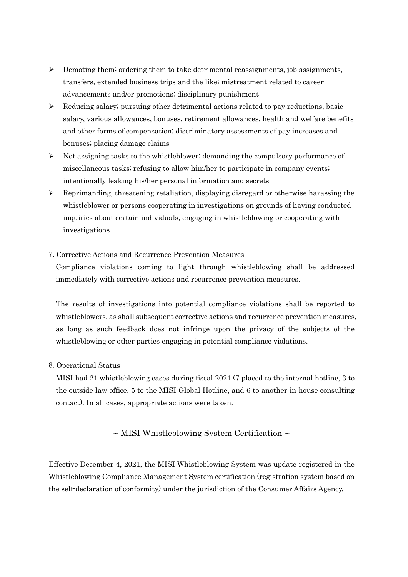- $\triangleright$  Demoting them; ordering them to take detrimental reassignments, job assignments, transfers, extended business trips and the like; mistreatment related to career advancements and/or promotions; disciplinary punishment
- $\triangleright$  Reducing salary; pursuing other detrimental actions related to pay reductions, basic salary, various allowances, bonuses, retirement allowances, health and welfare benefits and other forms of compensation; discriminatory assessments of pay increases and bonuses; placing damage claims
- $\triangleright$  Not assigning tasks to the whistleblower; demanding the compulsory performance of miscellaneous tasks; refusing to allow him/her to participate in company events; intentionally leaking his/her personal information and secrets
- $\triangleright$  Reprimanding, threatening retaliation, displaying disregard or otherwise harassing the whistleblower or persons cooperating in investigations on grounds of having conducted inquiries about certain individuals, engaging in whistleblowing or cooperating with investigations
- 7. Corrective Actions and Recurrence Prevention Measures

Compliance violations coming to light through whistleblowing shall be addressed immediately with corrective actions and recurrence prevention measures.

The results of investigations into potential compliance violations shall be reported to whistleblowers, as shall subsequent corrective actions and recurrence prevention measures, as long as such feedback does not infringe upon the privacy of the subjects of the whistleblowing or other parties engaging in potential compliance violations.

8. Operational Status

MISI had 21 whistleblowing cases during fiscal 2021 (7 placed to the internal hotline, 3 to the outside law office, 5 to the MISI Global Hotline, and 6 to another in-house consulting contact). In all cases, appropriate actions were taken.

 $\sim$  MISI Whistleblowing System Certification  $\sim$ 

Effective December 4, 2021, the MISI Whistleblowing System was update registered in the Whistleblowing Compliance Management System certification (registration system based on the self-declaration of conformity) under the jurisdiction of the Consumer Affairs Agency.